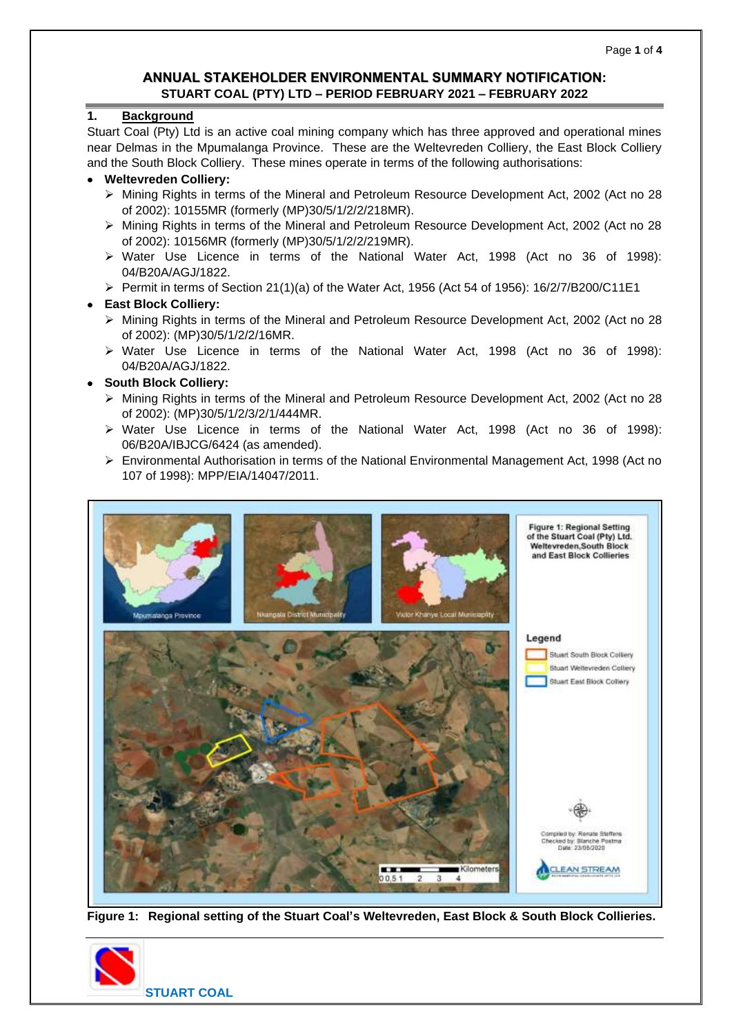## **ANNUAL STAKEHOLDER ENVIRONMENTAL SUMMARY NOTIFICATION: STUART COAL (PTY) LTD – PERIOD FEBRUARY 2021 – FEBRUARY 2022**

### **1. Background**

Stuart Coal (Pty) Ltd is an active coal mining company which has three approved and operational mines near Delmas in the Mpumalanga Province. These are the Weltevreden Colliery, the East Block Colliery and the South Block Colliery. These mines operate in terms of the following authorisations:

### • **Weltevreden Colliery:**

- ➢ Mining Rights in terms of the Mineral and Petroleum Resource Development Act, 2002 (Act no 28 of 2002): 10155MR (formerly (MP)30/5/1/2/2/218MR).
- ➢ Mining Rights in terms of the Mineral and Petroleum Resource Development Act, 2002 (Act no 28 of 2002): 10156MR (formerly (MP)30/5/1/2/2/219MR).
- ➢ Water Use Licence in terms of the National Water Act, 1998 (Act no 36 of 1998): 04/B20A/AGJ/1822.
- $\triangleright$  Permit in terms of Section 21(1)(a) of the Water Act, 1956 (Act 54 of 1956): 16/2/7/B200/C11E1

## • **East Block Colliery:**

- ➢ Mining Rights in terms of the Mineral and Petroleum Resource Development Act, 2002 (Act no 28 of 2002): (MP)30/5/1/2/2/16MR.
- ➢ Water Use Licence in terms of the National Water Act, 1998 (Act no 36 of 1998): 04/B20A/AGJ/1822.

## • **South Block Colliery:**

- ➢ Mining Rights in terms of the Mineral and Petroleum Resource Development Act, 2002 (Act no 28 of 2002): (MP)30/5/1/2/3/2/1/444MR.
- ➢ Water Use Licence in terms of the National Water Act, 1998 (Act no 36 of 1998): 06/B20A/IBJCG/6424 (as amended).
- ➢ Environmental Authorisation in terms of the National Environmental Management Act, 1998 (Act no 107 of 1998): MPP/EIA/14047/2011.



**Figure 1: Regional setting of the Stuart Coal's Weltevreden, East Block & South Block Collieries.**

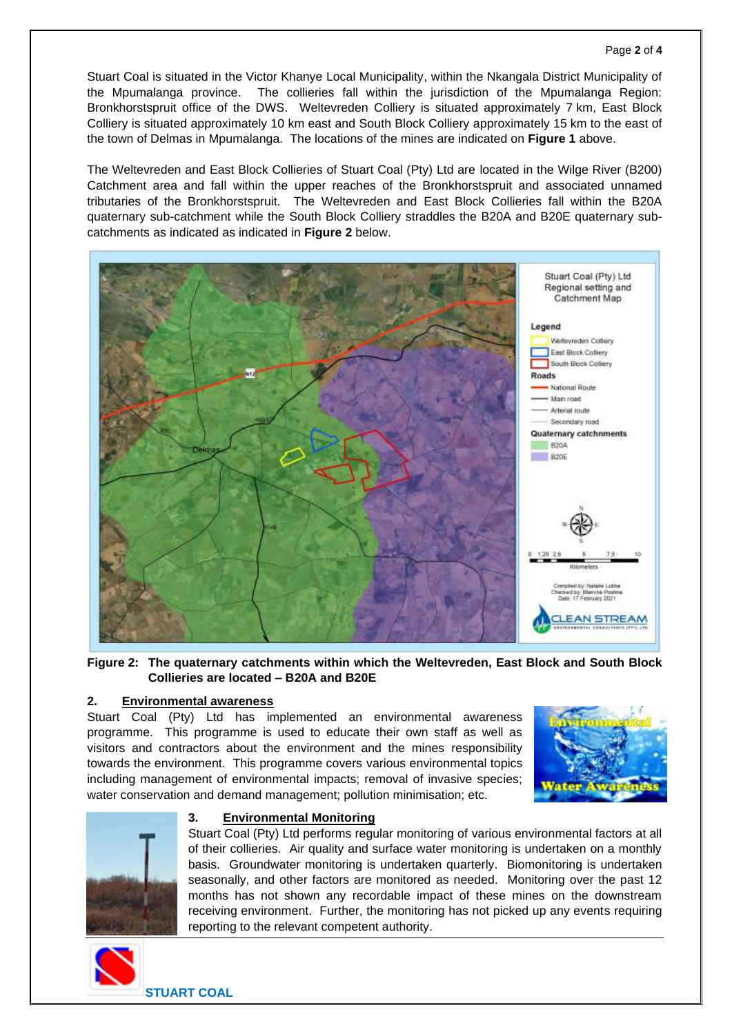Stuart Coal is situated in the Victor Khanye Local Municipality, within the Nkangala District Municipality of the Mpumalanga province. The collieries fall within the jurisdiction of the Mpumalanga Region: Bronkhorstspruit office of the DWS. Weltevreden Colliery is situated approximately 7 km, East Block Colliery is situated approximately 10 km east and South Block Colliery approximately 15 km to the east of the town of Delmas in Mpumalanga. The locations of the mines are indicated on **Figure 1** above.

The Weltevreden and East Block Collieries of Stuart Coal (Pty) Ltd are located in the Wilge River (B200) Catchment area and fall within the upper reaches of the Bronkhorstspruit and associated unnamed tributaries of the Bronkhorstspruit. The Weltevreden and East Block Collieries fall within the B20A quaternary sub-catchment while the South Block Colliery straddles the B20A and B20E quaternary subcatchments as indicated as indicated in **Figure 2** below.



**Figure 2: The quaternary catchments within which the Weltevreden, East Block and South Block Collieries are located – B20A and B20E**

## **2. Environmental awareness**

Stuart Coal (Pty) Ltd has implemented an environmental awareness programme. This programme is used to educate their own staff as well as visitors and contractors about the environment and the mines responsibility towards the environment. This programme covers various environmental topics including management of environmental impacts; removal of invasive species; water conservation and demand management; pollution minimisation; etc.





#### **3. Environmental Monitoring**

Stuart Coal (Pty) Ltd performs regular monitoring of various environmental factors at all of their collieries. Air quality and surface water monitoring is undertaken on a monthly basis. Groundwater monitoring is undertaken quarterly. Biomonitoring is undertaken seasonally, and other factors are monitored as needed. Monitoring over the past 12 months has not shown any recordable impact of these mines on the downstream receiving environment. Further, the monitoring has not picked up any events requiring reporting to the relevant competent authority.



**STUART COAL**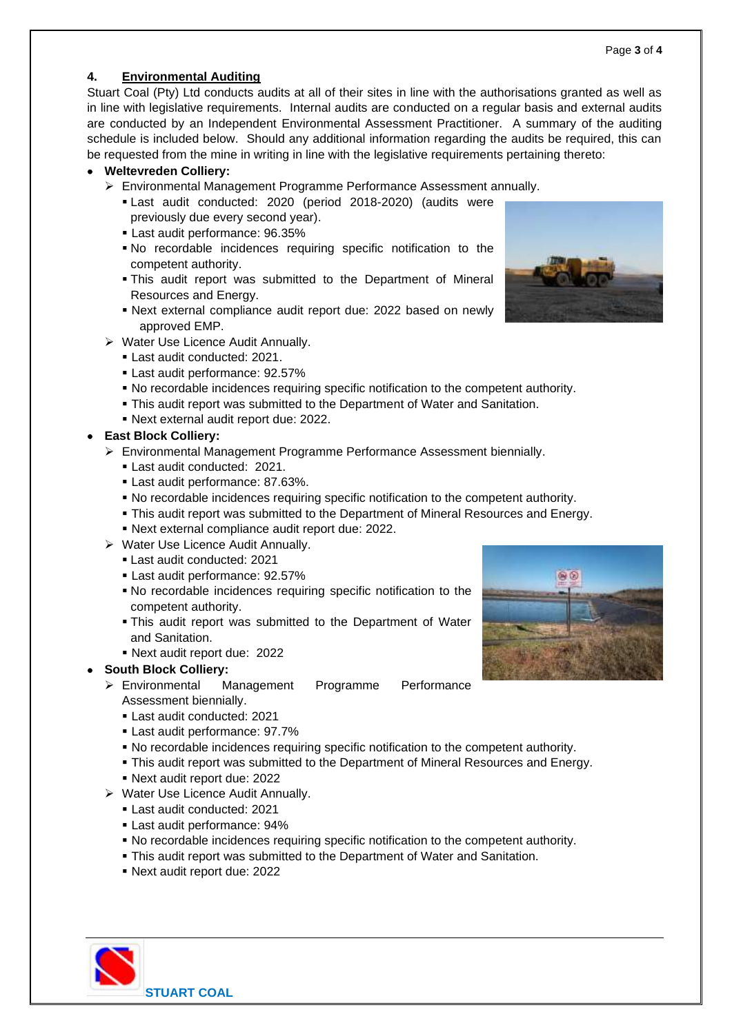## **4. Environmental Auditing**

Stuart Coal (Pty) Ltd conducts audits at all of their sites in line with the authorisations granted as well as in line with legislative requirements. Internal audits are conducted on a regular basis and external audits are conducted by an Independent Environmental Assessment Practitioner. A summary of the auditing schedule is included below. Should any additional information regarding the audits be required, this can be requested from the mine in writing in line with the legislative requirements pertaining thereto:

## • **Weltevreden Colliery:**

- ➢ Environmental Management Programme Performance Assessment annually.
	- **Last audit conducted: 2020 (period 2018-2020) (audits were** previously due every second year).
	- Last audit performance: 96.35%
	- No recordable incidences requiring specific notification to the competent authority.
	- **.** This audit report was submitted to the Department of Mineral Resources and Energy.
	- Next external compliance audit report due: 2022 based on newly approved EMP.
- ➢ Water Use Licence Audit Annually.
	- Last audit conducted: 2021.
	- Last audit performance: 92.57%
	- No recordable incidences requiring specific notification to the competent authority.
	- **This audit report was submitted to the Department of Water and Sanitation.**
	- Next external audit report due: 2022.

# • **East Block Colliery:**

- ➢ Environmental Management Programme Performance Assessment biennially.
	- Last audit conducted: 2021.
	- **Last audit performance: 87.63%.**
	- No recordable incidences requiring specific notification to the competent authority.
	- **This audit report was submitted to the Department of Mineral Resources and Energy.**
	- Next external compliance audit report due: 2022.
- ➢ Water Use Licence Audit Annually.
	- Last audit conducted: 2021
	- Last audit performance: 92.57%
	- No recordable incidences requiring specific notification to the competent authority.
	- **. This audit report was submitted to the Department of Water** and Sanitation.
	- Next audit report due: 2022

# • **South Block Colliery:**

- ➢ Environmental Management Programme Performance Assessment biennially.
	- Last audit conducted: 2021
	- Last audit performance: 97.7%
	- No recordable incidences requiring specific notification to the competent authority.
	- This audit report was submitted to the Department of Mineral Resources and Energy.
	- Next audit report due: 2022
- ➢ Water Use Licence Audit Annually.
	- Last audit conducted: 2021
	- Last audit performance: 94%
	- No recordable incidences requiring specific notification to the competent authority.
	- **This audit report was submitted to the Department of Water and Sanitation.**
	- Next audit report due: 2022